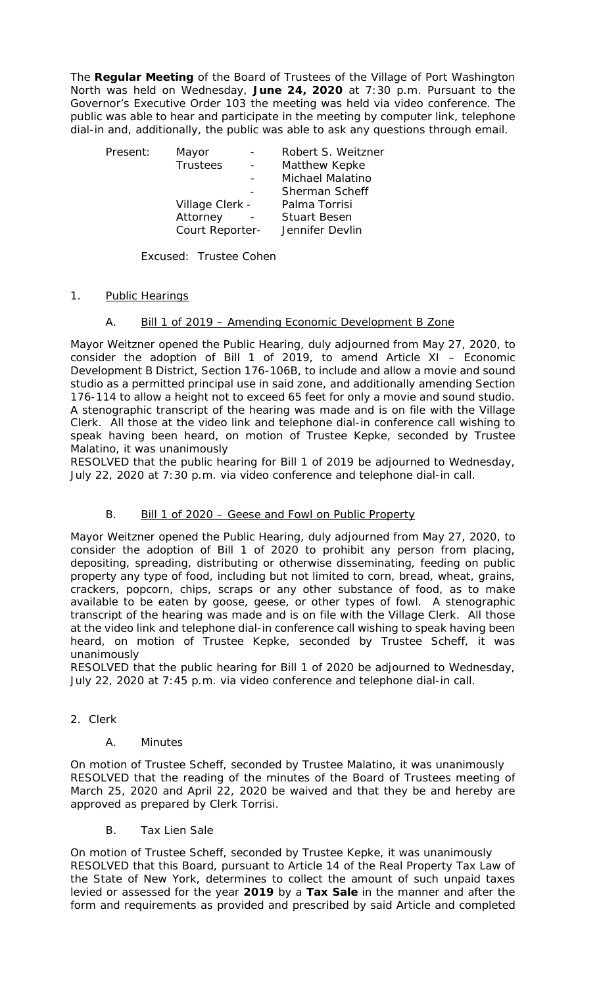The **Regular Meeting** of the Board of Trustees of the Village of Port Washington North was held on Wednesday, **June 24, 2020** at 7:30 p.m. Pursuant to the Governor's Executive Order 103 the meeting was held via video conference. The public was able to hear and participate in the meeting by computer link, telephone dial-in and, additionally, the public was able to ask any questions through email.

| Present: | Mayor           |  | Robert S. Weitzner  |
|----------|-----------------|--|---------------------|
|          | <b>Trustees</b> |  | Matthew Kepke       |
|          |                 |  | Michael Malatino    |
|          |                 |  | Sherman Scheff      |
|          | Village Clerk - |  | Palma Torrisi       |
|          | Attorney        |  | <b>Stuart Besen</b> |
|          | Court Reporter- |  | Jennifer Devlin     |

Excused: Trustee Cohen

### 1. Public Hearings

#### A. Bill 1 of 2019 – Amending Economic Development B Zone

Mayor Weitzner opened the Public Hearing, duly adjourned from May 27, 2020, to consider the adoption of Bill 1 of 2019, to amend Article XI – Economic Development B District, Section 176-106B, to include and allow a movie and sound studio as a permitted principal use in said zone, and additionally amending Section 176-114 to allow a height not to exceed 65 feet for only a movie and sound studio. A stenographic transcript of the hearing was made and is on file with the Village Clerk. All those at the video link and telephone dial-in conference call wishing to speak having been heard, on motion of Trustee Kepke, seconded by Trustee Malatino, it was unanimously

RESOLVED that the public hearing for Bill 1 of 2019 be adjourned to Wednesday, July 22, 2020 at 7:30 p.m. via video conference and telephone dial-in call.

#### B. Bill 1 of 2020 – Geese and Fowl on Public Property

Mayor Weitzner opened the Public Hearing, duly adjourned from May 27, 2020, to consider the adoption of Bill 1 of 2020 to prohibit any person from placing, depositing, spreading, distributing or otherwise disseminating, feeding on public property any type of food, including but not limited to corn, bread, wheat, grains, crackers, popcorn, chips, scraps or any other substance of food, as to make available to be eaten by goose, geese, or other types of fowl. A stenographic transcript of the hearing was made and is on file with the Village Clerk. All those at the video link and telephone dial-in conference call wishing to speak having been heard, on motion of Trustee Kepke, seconded by Trustee Scheff, it was unanimously

RESOLVED that the public hearing for Bill 1 of 2020 be adjourned to Wednesday, July 22, 2020 at 7:45 p.m. via video conference and telephone dial-in call.

2. Clerk

#### A. Minutes

On motion of Trustee Scheff, seconded by Trustee Malatino, it was unanimously RESOLVED that the reading of the minutes of the Board of Trustees meeting of March 25, 2020 and April 22, 2020 be waived and that they be and hereby are approved as prepared by Clerk Torrisi.

B. Tax Lien Sale

On motion of Trustee Scheff, seconded by Trustee Kepke, it was unanimously RESOLVED that this Board, pursuant to Article 14 of the Real Property Tax Law of the State of New York, determines to collect the amount of such unpaid taxes levied or assessed for the year **2019** by a **Tax Sale** in the manner and after the form and requirements as provided and prescribed by said Article and completed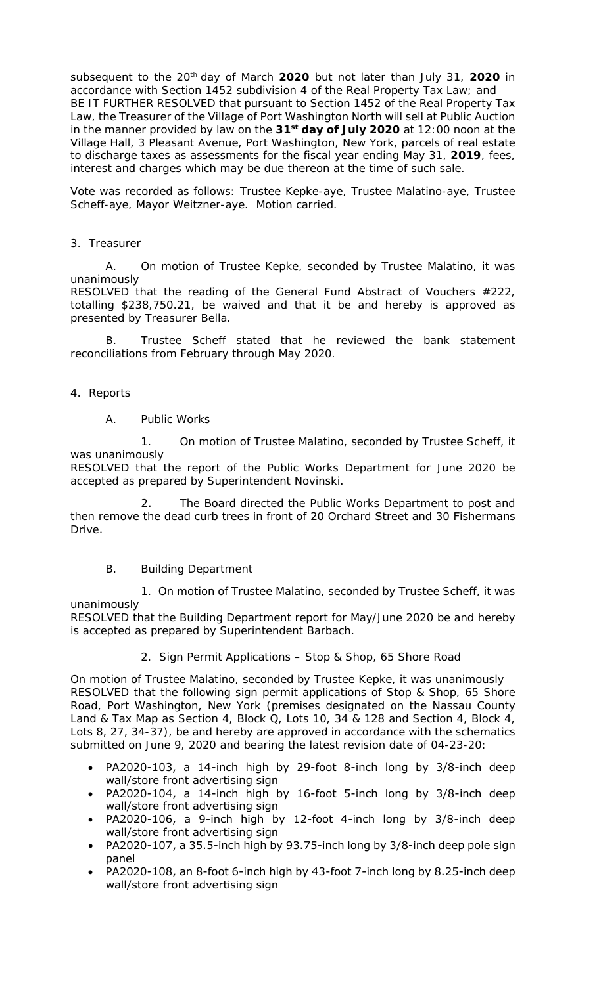subsequent to the 20th day of March **2020** but not later than July 31, **2020** in accordance with Section 1452 subdivision 4 of the Real Property Tax Law; and BE IT FURTHER RESOLVED that pursuant to Section 1452 of the Real Property Tax Law, the Treasurer of the Village of Port Washington North will sell at Public Auction in the manner provided by law on the **31st day of July 2020** at 12:00 noon at the Village Hall, 3 Pleasant Avenue, Port Washington, New York, parcels of real estate to discharge taxes as assessments for the fiscal year ending May 31, **2019**, fees, interest and charges which may be due thereon at the time of such sale.

Vote was recorded as follows: Trustee Kepke-aye, Trustee Malatino-aye, Trustee Scheff-aye, Mayor Weitzner-aye. Motion carried.

#### 3. Treasurer

A. On motion of Trustee Kepke, seconded by Trustee Malatino, it was unanimously

RESOLVED that the reading of the General Fund Abstract of Vouchers #222, totalling \$238,750.21, be waived and that it be and hereby is approved as presented by Treasurer Bella.

Trustee Scheff stated that he reviewed the bank statement reconciliations from February through May 2020.

4. Reports

A. Public Works

1. On motion of Trustee Malatino, seconded by Trustee Scheff, it was unanimously

RESOLVED that the report of the Public Works Department for June 2020 be accepted as prepared by Superintendent Novinski.

2. The Board directed the Public Works Department to post and then remove the dead curb trees in front of 20 Orchard Street and 30 Fishermans Drive.

#### B. Building Department

1. On motion of Trustee Malatino, seconded by Trustee Scheff, it was unanimously

RESOLVED that the Building Department report for May/June 2020 be and hereby is accepted as prepared by Superintendent Barbach.

#### 2. Sign Permit Applications – Stop & Shop, 65 Shore Road

On motion of Trustee Malatino, seconded by Trustee Kepke, it was unanimously RESOLVED that the following sign permit applications of Stop & Shop, 65 Shore Road, Port Washington, New York (premises designated on the Nassau County Land & Tax Map as Section 4, Block Q, Lots 10, 34 & 128 and Section 4, Block 4, Lots 8, 27, 34-37), be and hereby are approved in accordance with the schematics submitted on June 9, 2020 and bearing the latest revision date of 04-23-20:

- PA2020-103, a 14-inch high by 29-foot 8-inch long by 3/8-inch deep wall/store front advertising sign
- PA2020-104, a 14-inch high by 16-foot 5-inch long by 3/8-inch deep wall/store front advertising sign
- PA2020-106, a 9-inch high by 12-foot 4-inch long by 3/8-inch deep wall/store front advertising sign
- PA2020-107, a 35.5-inch high by 93.75-inch long by 3/8-inch deep pole sign panel
- PA2020-108, an 8-foot 6-inch high by 43-foot 7-inch long by 8.25-inch deep wall/store front advertising sign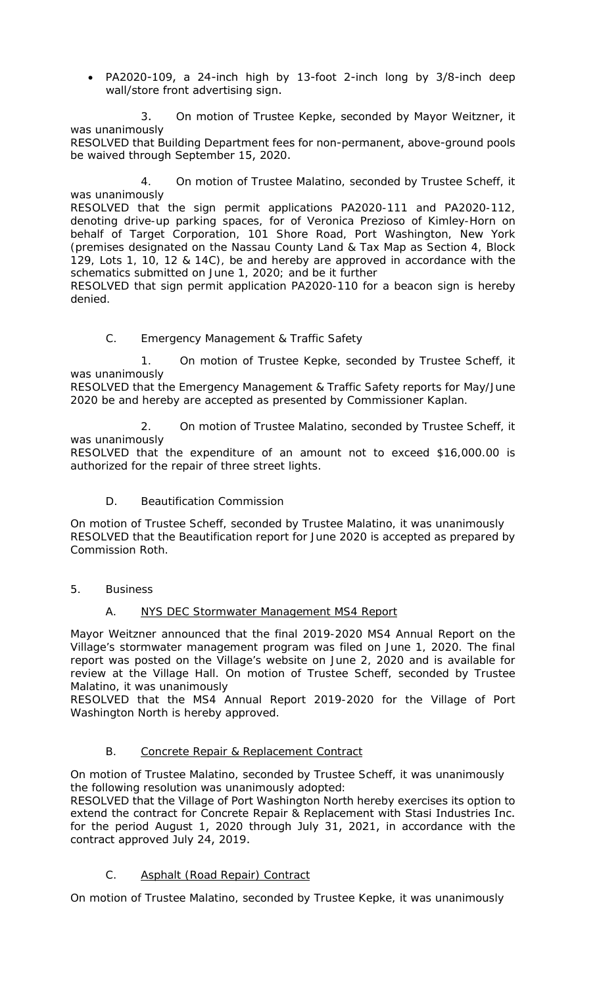• PA2020-109, a 24-inch high by 13-foot 2-inch long by 3/8-inch deep wall/store front advertising sign.

3. On motion of Trustee Kepke, seconded by Mayor Weitzner, it was unanimously

RESOLVED that Building Department fees for non-permanent, above-ground pools be waived through September 15, 2020.

4. On motion of Trustee Malatino, seconded by Trustee Scheff, it was unanimously

RESOLVED that the sign permit applications PA2020-111 and PA2020-112, denoting drive-up parking spaces, for of Veronica Prezioso of Kimley-Horn on behalf of Target Corporation, 101 Shore Road, Port Washington, New York (premises designated on the Nassau County Land & Tax Map as Section 4, Block 129, Lots 1, 10, 12 & 14C), be and hereby are approved in accordance with the schematics submitted on June 1, 2020; and be it further

RESOLVED that sign permit application PA2020-110 for a beacon sign is hereby denied.

# C. Emergency Management & Traffic Safety

1. On motion of Trustee Kepke, seconded by Trustee Scheff, it was unanimously

RESOLVED that the Emergency Management & Traffic Safety reports for May/June 2020 be and hereby are accepted as presented by Commissioner Kaplan.

2. On motion of Trustee Malatino, seconded by Trustee Scheff, it was unanimously

RESOLVED that the expenditure of an amount not to exceed \$16,000.00 is authorized for the repair of three street lights.

# D. Beautification Commission

On motion of Trustee Scheff, seconded by Trustee Malatino, it was unanimously RESOLVED that the Beautification report for June 2020 is accepted as prepared by Commission Roth.

# 5. Business

# A. NYS DEC Stormwater Management MS4 Report

Mayor Weitzner announced that the final 2019-2020 MS4 Annual Report on the Village's stormwater management program was filed on June 1, 2020. The final report was posted on the Village's website on June 2, 2020 and is available for review at the Village Hall. On motion of Trustee Scheff, seconded by Trustee Malatino, it was unanimously

RESOLVED that the MS4 Annual Report 2019-2020 for the Village of Port Washington North is hereby approved.

# B. Concrete Repair & Replacement Contract

On motion of Trustee Malatino, seconded by Trustee Scheff, it was unanimously the following resolution was unanimously adopted:

RESOLVED that the Village of Port Washington North hereby exercises its option to extend the contract for Concrete Repair & Replacement with Stasi Industries Inc. for the period August 1, 2020 through July 31, 2021, in accordance with the contract approved July 24, 2019.

# C. Asphalt (Road Repair) Contract

On motion of Trustee Malatino, seconded by Trustee Kepke, it was unanimously